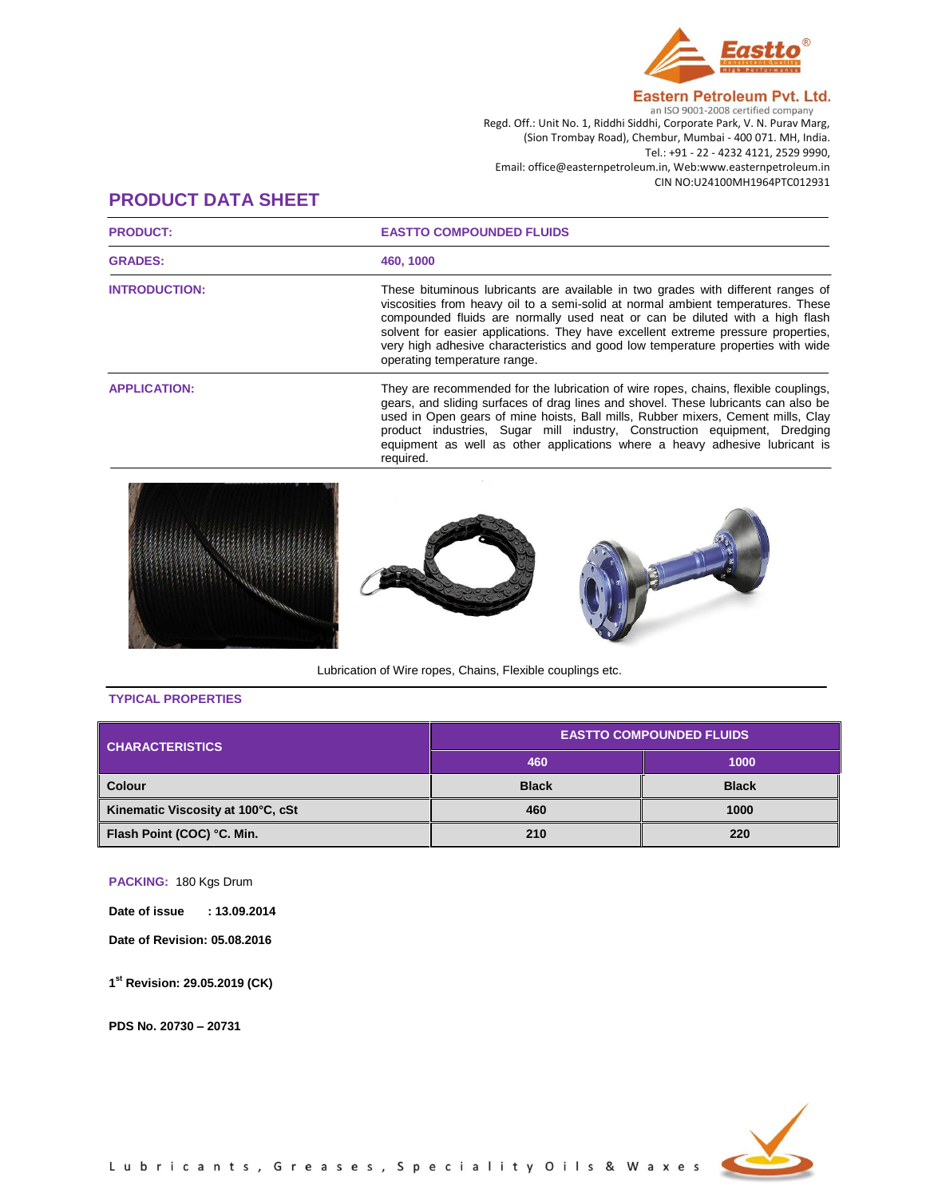

## Eastern Petroleum Pvt. Ltd.

an ISO 9001-2008 certified company Regd. Off.: Unit No. 1, Riddhi Siddhi, Corporate Park, V. N. Purav Marg, (Sion Trombay Road), Chembur, Mumbai - 400 071. MH, India. Tel.: +91 - 22 - 4232 4121, 2529 9990, Email: office@easternpetroleum.in, Web:www.easternpetroleum.in CIN NO:U24100MH1964PTC012931

## **PRODUCT DATA SHEET**

| <b>PRODUCT:</b>      | <b>EASTTO COMPOUNDED FLUIDS</b>                                                                                                                                                                                                                                                                                                                                                                                                                               |  |
|----------------------|---------------------------------------------------------------------------------------------------------------------------------------------------------------------------------------------------------------------------------------------------------------------------------------------------------------------------------------------------------------------------------------------------------------------------------------------------------------|--|
| <b>GRADES:</b>       | 460, 1000                                                                                                                                                                                                                                                                                                                                                                                                                                                     |  |
| <b>INTRODUCTION:</b> | These bituminous lubricants are available in two grades with different ranges of<br>viscosities from heavy oil to a semi-solid at normal ambient temperatures. These<br>compounded fluids are normally used neat or can be diluted with a high flash<br>solvent for easier applications. They have excellent extreme pressure properties,<br>very high adhesive characteristics and good low temperature properties with wide<br>operating temperature range. |  |
| <b>APPLICATION:</b>  | They are recommended for the lubrication of wire ropes, chains, flexible couplings,<br>gears, and sliding surfaces of drag lines and shovel. These lubricants can also be<br>used in Open gears of mine hoists, Ball mills, Rubber mixers, Cement mills, Clay<br>product industries, Sugar mill industry, Construction equipment, Dredging<br>equipment as well as other applications where a heavy adhesive lubricant is<br>required.                        |  |
|                      |                                                                                                                                                                                                                                                                                                                                                                                                                                                               |  |

Lubrication of Wire ropes, Chains, Flexible couplings etc.

## **TYPICAL PROPERTIES**

| <b>CHARACTERISTICS</b>            | <b>EASTTO COMPOUNDED FLUIDS</b> |              |
|-----------------------------------|---------------------------------|--------------|
|                                   | 460                             | 1000         |
| <b>Colour</b>                     | <b>Black</b>                    | <b>Black</b> |
| Kinematic Viscosity at 100°C, cSt | 460                             | 1000         |
| Flash Point (COC) °C. Min.        | 210                             | 220          |

**PACKING:** 180 Kgs Drum

**Date of issue : 13.09.2014**

**Date of Revision: 05.08.2016**

**1 st Revision: 29.05.2019 (CK)**

**PDS No. 20730 – 20731**